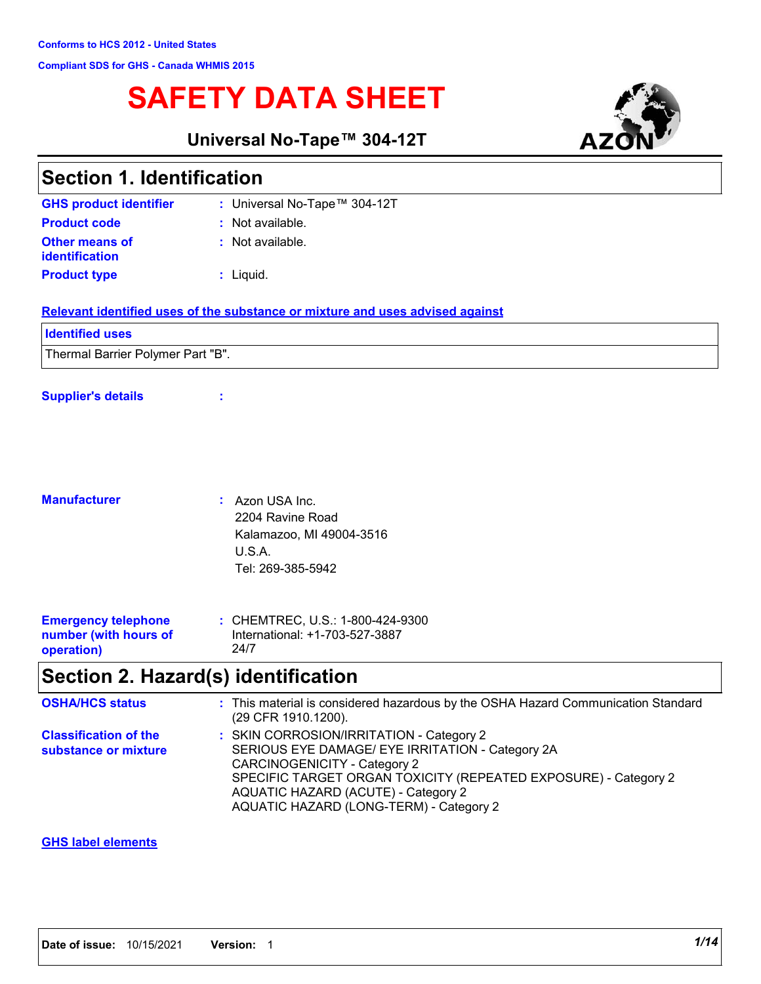# **SAFETY DATA SHEET**

**Universal No-Tape™ 304-12T**



| <b>Section 1. Identification</b>               |                                                                               |  |
|------------------------------------------------|-------------------------------------------------------------------------------|--|
| <b>GHS product identifier</b>                  | : Universal No-Tape™ 304-12T                                                  |  |
| <b>Product code</b>                            | $:$ Not available.                                                            |  |
| <b>Other means of</b><br><b>identification</b> | : Not available.                                                              |  |
| <b>Product type</b>                            | $:$ Liquid.                                                                   |  |
|                                                | Relevant identified uses of the substance or mixture and uses advised against |  |
| <b>Identified uses</b>                         |                                                                               |  |
| Thermal Barrier Polymer Part "B".              |                                                                               |  |

#### **Supplier's details :**

| <b>Manufacturer</b> | $:$ Azon USA Inc.        |
|---------------------|--------------------------|
|                     | 2204 Ravine Road         |
|                     | Kalamazoo, MI 49004-3516 |
|                     | U.S.A.                   |
|                     | Tel: 269-385-5942        |
|                     |                          |

| <b>Emergency telephone</b> | : CHEMTREC, U.S.: 1-800-424-9300 |
|----------------------------|----------------------------------|
| number (with hours of      | International: +1-703-527-3887   |
| operation)                 | 24/7                             |

# **Section 2. Hazard(s) identification**

| <b>OSHA/HCS status</b>                               | : This material is considered hazardous by the OSHA Hazard Communication Standard<br>(29 CFR 1910.1200).                                                                                                                                                                          |
|------------------------------------------------------|-----------------------------------------------------------------------------------------------------------------------------------------------------------------------------------------------------------------------------------------------------------------------------------|
| <b>Classification of the</b><br>substance or mixture | : SKIN CORROSION/IRRITATION - Category 2<br>SERIOUS EYE DAMAGE/ EYE IRRITATION - Category 2A<br>CARCINOGENICITY - Category 2<br>SPECIFIC TARGET ORGAN TOXICITY (REPEATED EXPOSURE) - Category 2<br>AQUATIC HAZARD (ACUTE) - Category 2<br>AQUATIC HAZARD (LONG-TERM) - Category 2 |

#### **GHS label elements**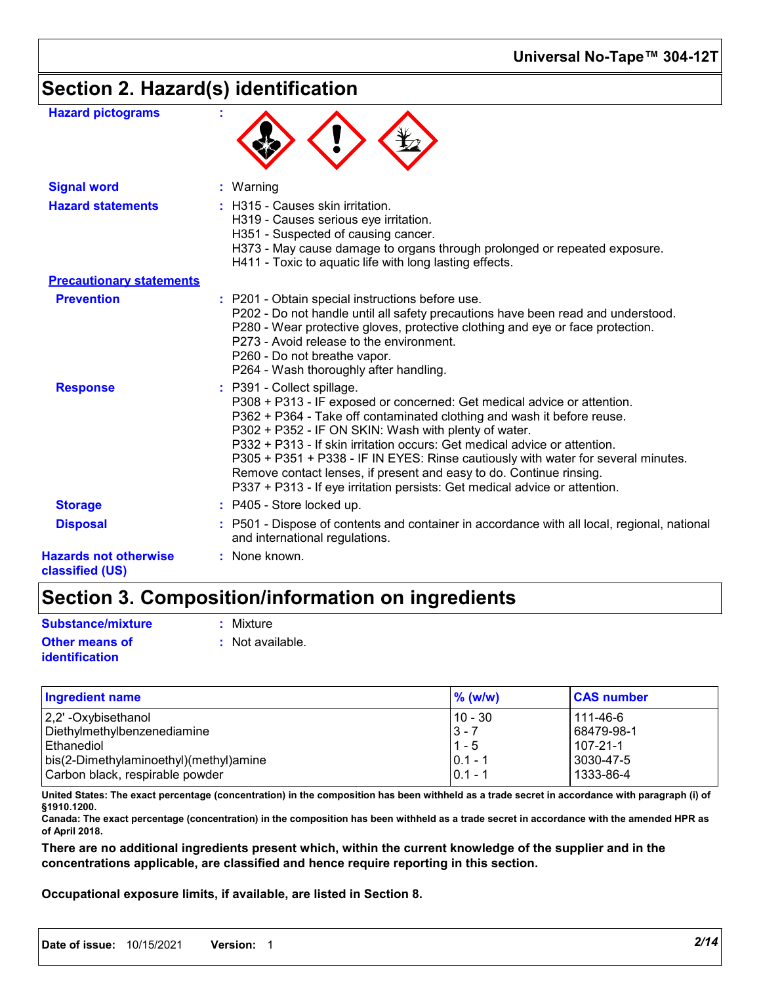### **Universal No-Tape™ 304-12T**

## **Section 2. Hazard(s) identification**

| <b>Hazard pictograms</b>                        |                                                                                                                                                                                                                                                                                                                                                                                                                                                                                                                                                                |
|-------------------------------------------------|----------------------------------------------------------------------------------------------------------------------------------------------------------------------------------------------------------------------------------------------------------------------------------------------------------------------------------------------------------------------------------------------------------------------------------------------------------------------------------------------------------------------------------------------------------------|
| <b>Signal word</b>                              | : Warning                                                                                                                                                                                                                                                                                                                                                                                                                                                                                                                                                      |
| <b>Hazard statements</b>                        | : H315 - Causes skin irritation.<br>H319 - Causes serious eye irritation.<br>H351 - Suspected of causing cancer.<br>H373 - May cause damage to organs through prolonged or repeated exposure.<br>H411 - Toxic to aquatic life with long lasting effects.                                                                                                                                                                                                                                                                                                       |
| <b>Precautionary statements</b>                 |                                                                                                                                                                                                                                                                                                                                                                                                                                                                                                                                                                |
| <b>Prevention</b>                               | : P201 - Obtain special instructions before use.<br>P202 - Do not handle until all safety precautions have been read and understood.<br>P280 - Wear protective gloves, protective clothing and eye or face protection.<br>P273 - Avoid release to the environment.<br>P260 - Do not breathe vapor.<br>P264 - Wash thoroughly after handling.                                                                                                                                                                                                                   |
| <b>Response</b>                                 | : P391 - Collect spillage.<br>P308 + P313 - IF exposed or concerned: Get medical advice or attention.<br>P362 + P364 - Take off contaminated clothing and wash it before reuse.<br>P302 + P352 - IF ON SKIN: Wash with plenty of water.<br>P332 + P313 - If skin irritation occurs: Get medical advice or attention.<br>P305 + P351 + P338 - IF IN EYES: Rinse cautiously with water for several minutes.<br>Remove contact lenses, if present and easy to do. Continue rinsing.<br>P337 + P313 - If eye irritation persists: Get medical advice or attention. |
| <b>Storage</b>                                  | : P405 - Store locked up.                                                                                                                                                                                                                                                                                                                                                                                                                                                                                                                                      |
| <b>Disposal</b>                                 | : P501 - Dispose of contents and container in accordance with all local, regional, national<br>and international regulations.                                                                                                                                                                                                                                                                                                                                                                                                                                  |
| <b>Hazards not otherwise</b><br>classified (US) | : None known.                                                                                                                                                                                                                                                                                                                                                                                                                                                                                                                                                  |

## **Section 3. Composition/information on ingredients**

| <b>Substance/mixture</b> | : Mixture          |
|--------------------------|--------------------|
| <b>Other means of</b>    | $:$ Not available. |
| <b>identification</b>    |                    |

| Ingredient name                        | $\%$ (w/w) | <b>CAS number</b> |
|----------------------------------------|------------|-------------------|
| 2,2' -Oxybisethanol                    | 10 - 30    | 111-46-6          |
| Diethylmethylbenzenediamine            | $3 - 7$    | 68479-98-1        |
| Ethanediol                             | $1 - 5$    | 107-21-1          |
| bis(2-Dimethylaminoethyl)(methyl)amine | $0.1 - 1$  | 3030-47-5         |
| Carbon black, respirable powder        | $0.1 - 1$  | 1333-86-4         |

**United States: The exact percentage (concentration) in the composition has been withheld as a trade secret in accordance with paragraph (i) of §1910.1200.**

**Canada: The exact percentage (concentration) in the composition has been withheld as a trade secret in accordance with the amended HPR as of April 2018.**

**There are no additional ingredients present which, within the current knowledge of the supplier and in the concentrations applicable, are classified and hence require reporting in this section.**

**Occupational exposure limits, if available, are listed in Section 8.**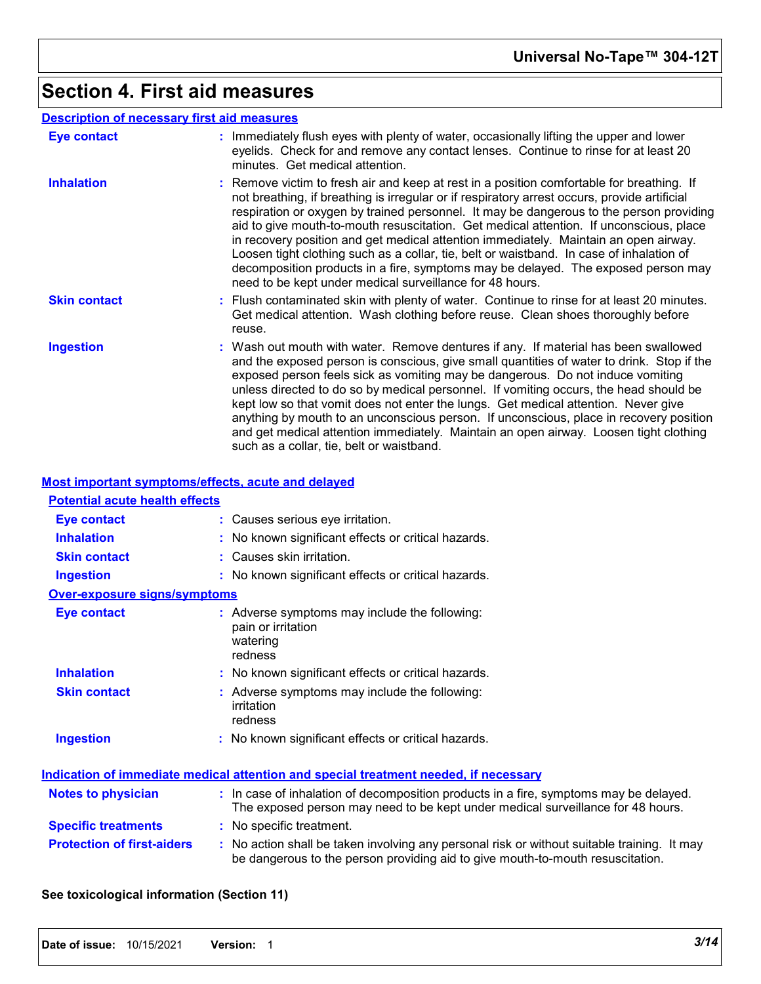# **Section 4. First aid measures**

|                     | <b>Description of necessary first aid measures</b>                                                                                                                                                                                                                                                                                                                                                                                                                                                                                                                                                                                                                                                                  |
|---------------------|---------------------------------------------------------------------------------------------------------------------------------------------------------------------------------------------------------------------------------------------------------------------------------------------------------------------------------------------------------------------------------------------------------------------------------------------------------------------------------------------------------------------------------------------------------------------------------------------------------------------------------------------------------------------------------------------------------------------|
| Eye contact         | : Immediately flush eyes with plenty of water, occasionally lifting the upper and lower<br>eyelids. Check for and remove any contact lenses. Continue to rinse for at least 20<br>minutes. Get medical attention.                                                                                                                                                                                                                                                                                                                                                                                                                                                                                                   |
| <b>Inhalation</b>   | : Remove victim to fresh air and keep at rest in a position comfortable for breathing. If<br>not breathing, if breathing is irregular or if respiratory arrest occurs, provide artificial<br>respiration or oxygen by trained personnel. It may be dangerous to the person providing<br>aid to give mouth-to-mouth resuscitation. Get medical attention. If unconscious, place<br>in recovery position and get medical attention immediately. Maintain an open airway.<br>Loosen tight clothing such as a collar, tie, belt or waistband. In case of inhalation of<br>decomposition products in a fire, symptoms may be delayed. The exposed person may<br>need to be kept under medical surveillance for 48 hours. |
| <b>Skin contact</b> | : Flush contaminated skin with plenty of water. Continue to rinse for at least 20 minutes.<br>Get medical attention. Wash clothing before reuse. Clean shoes thoroughly before<br>reuse.                                                                                                                                                                                                                                                                                                                                                                                                                                                                                                                            |
| <b>Ingestion</b>    | : Wash out mouth with water. Remove dentures if any. If material has been swallowed<br>and the exposed person is conscious, give small quantities of water to drink. Stop if the<br>exposed person feels sick as vomiting may be dangerous. Do not induce vomiting<br>unless directed to do so by medical personnel. If vomiting occurs, the head should be<br>kept low so that vomit does not enter the lungs. Get medical attention. Never give<br>anything by mouth to an unconscious person. If unconscious, place in recovery position<br>and get medical attention immediately. Maintain an open airway. Loosen tight clothing<br>such as a collar, tie, belt or waistband.                                   |

### **Most important symptoms/effects, acute and delayed**

| <b>Potential acute health effects</b> |                                                                                                                                                                               |
|---------------------------------------|-------------------------------------------------------------------------------------------------------------------------------------------------------------------------------|
| <b>Eye contact</b>                    | : Causes serious eye irritation.                                                                                                                                              |
| <b>Inhalation</b>                     | : No known significant effects or critical hazards.                                                                                                                           |
| <b>Skin contact</b>                   | : Causes skin irritation.                                                                                                                                                     |
| <b>Ingestion</b>                      | : No known significant effects or critical hazards.                                                                                                                           |
| <b>Over-exposure signs/symptoms</b>   |                                                                                                                                                                               |
| <b>Eye contact</b>                    | : Adverse symptoms may include the following:<br>pain or irritation<br>watering<br>redness                                                                                    |
| <b>Inhalation</b>                     | : No known significant effects or critical hazards.                                                                                                                           |
| <b>Skin contact</b>                   | : Adverse symptoms may include the following:<br>irritation<br>redness                                                                                                        |
| <b>Ingestion</b>                      | : No known significant effects or critical hazards.                                                                                                                           |
|                                       | <b>Indication of immediate medical attention and special treatment needed, if necessary</b>                                                                                   |
| <b>Notes to physician</b>             | : In case of inhalation of decomposition products in a fire, symptoms may be delayed.<br>The exposed person may need to be kept under medical surveillance for 48 hours.      |
| <b>Specific treatments</b>            | : No specific treatment.                                                                                                                                                      |
| <b>Protection of first-aiders</b>     | : No action shall be taken involving any personal risk or without suitable training. It may<br>be dangerous to the person providing aid to give mouth-to-mouth resuscitation. |

### **See toxicological information (Section 11)**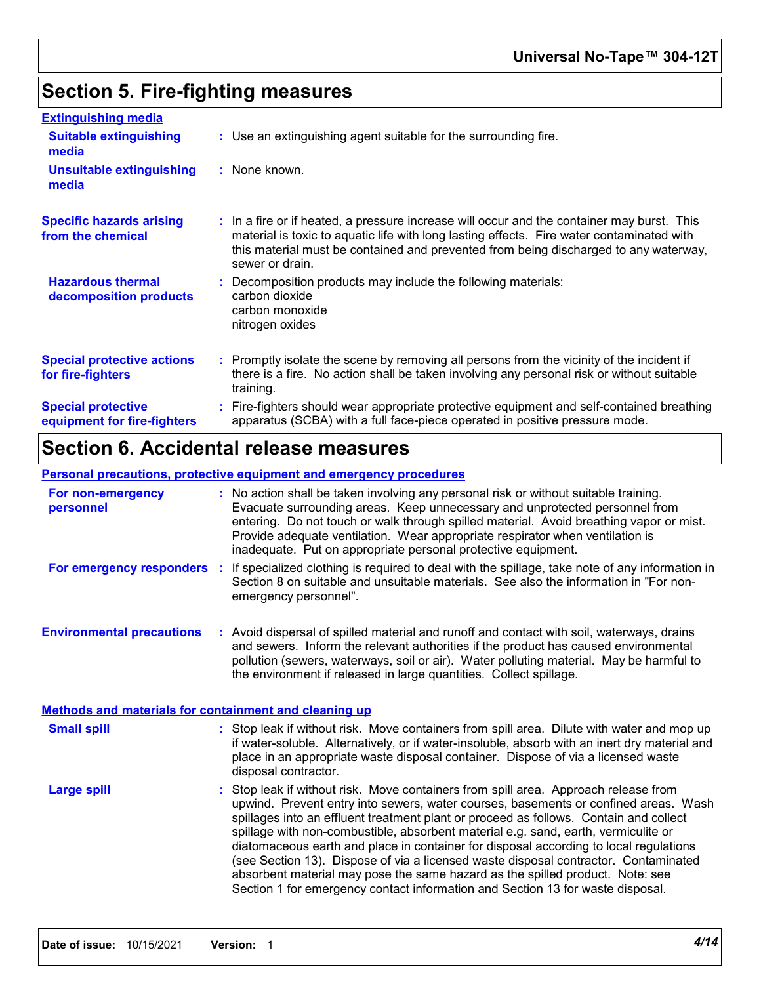# **Section 5. Fire-fighting measures**

| <b>Extinguishing media</b>                               |                                                                                                                                                                                                                                                                                                    |
|----------------------------------------------------------|----------------------------------------------------------------------------------------------------------------------------------------------------------------------------------------------------------------------------------------------------------------------------------------------------|
| <b>Suitable extinguishing</b><br>media                   | : Use an extinguishing agent suitable for the surrounding fire.                                                                                                                                                                                                                                    |
| <b>Unsuitable extinguishing</b><br>media                 | : None known.                                                                                                                                                                                                                                                                                      |
| <b>Specific hazards arising</b><br>from the chemical     | : In a fire or if heated, a pressure increase will occur and the container may burst. This<br>material is toxic to aquatic life with long lasting effects. Fire water contaminated with<br>this material must be contained and prevented from being discharged to any waterway,<br>sewer or drain. |
| <b>Hazardous thermal</b><br>decomposition products       | Decomposition products may include the following materials:<br>carbon dioxide<br>carbon monoxide<br>nitrogen oxides                                                                                                                                                                                |
| <b>Special protective actions</b><br>for fire-fighters   | Promptly isolate the scene by removing all persons from the vicinity of the incident if<br>there is a fire. No action shall be taken involving any personal risk or without suitable<br>training.                                                                                                  |
| <b>Special protective</b><br>equipment for fire-fighters | Fire-fighters should wear appropriate protective equipment and self-contained breathing<br>apparatus (SCBA) with a full face-piece operated in positive pressure mode.                                                                                                                             |

# **Section 6. Accidental release measures**

### **Personal precautions, protective equipment and emergency procedures**

| For non-emergency<br>personnel                        | : No action shall be taken involving any personal risk or without suitable training.<br>Evacuate surrounding areas. Keep unnecessary and unprotected personnel from<br>entering. Do not touch or walk through spilled material. Avoid breathing vapor or mist.<br>Provide adequate ventilation. Wear appropriate respirator when ventilation is<br>inadequate. Put on appropriate personal protective equipment.                                                                                                                                                                                                                                                                                           |
|-------------------------------------------------------|------------------------------------------------------------------------------------------------------------------------------------------------------------------------------------------------------------------------------------------------------------------------------------------------------------------------------------------------------------------------------------------------------------------------------------------------------------------------------------------------------------------------------------------------------------------------------------------------------------------------------------------------------------------------------------------------------------|
| For emergency responders :                            | If specialized clothing is required to deal with the spillage, take note of any information in<br>Section 8 on suitable and unsuitable materials. See also the information in "For non-<br>emergency personnel".                                                                                                                                                                                                                                                                                                                                                                                                                                                                                           |
| <b>Environmental precautions</b>                      | : Avoid dispersal of spilled material and runoff and contact with soil, waterways, drains<br>and sewers. Inform the relevant authorities if the product has caused environmental<br>pollution (sewers, waterways, soil or air). Water polluting material. May be harmful to<br>the environment if released in large quantities. Collect spillage.                                                                                                                                                                                                                                                                                                                                                          |
| Methods and materials for containment and cleaning up |                                                                                                                                                                                                                                                                                                                                                                                                                                                                                                                                                                                                                                                                                                            |
| <b>Small spill</b>                                    | : Stop leak if without risk. Move containers from spill area. Dilute with water and mop up<br>if water-soluble. Alternatively, or if water-insoluble, absorb with an inert dry material and<br>place in an appropriate waste disposal container. Dispose of via a licensed waste<br>disposal contractor.                                                                                                                                                                                                                                                                                                                                                                                                   |
| <b>Large spill</b>                                    | Stop leak if without risk. Move containers from spill area. Approach release from<br>upwind. Prevent entry into sewers, water courses, basements or confined areas. Wash<br>spillages into an effluent treatment plant or proceed as follows. Contain and collect<br>spillage with non-combustible, absorbent material e.g. sand, earth, vermiculite or<br>diatomaceous earth and place in container for disposal according to local regulations<br>(see Section 13). Dispose of via a licensed waste disposal contractor. Contaminated<br>absorbent material may pose the same hazard as the spilled product. Note: see<br>Section 1 for emergency contact information and Section 13 for waste disposal. |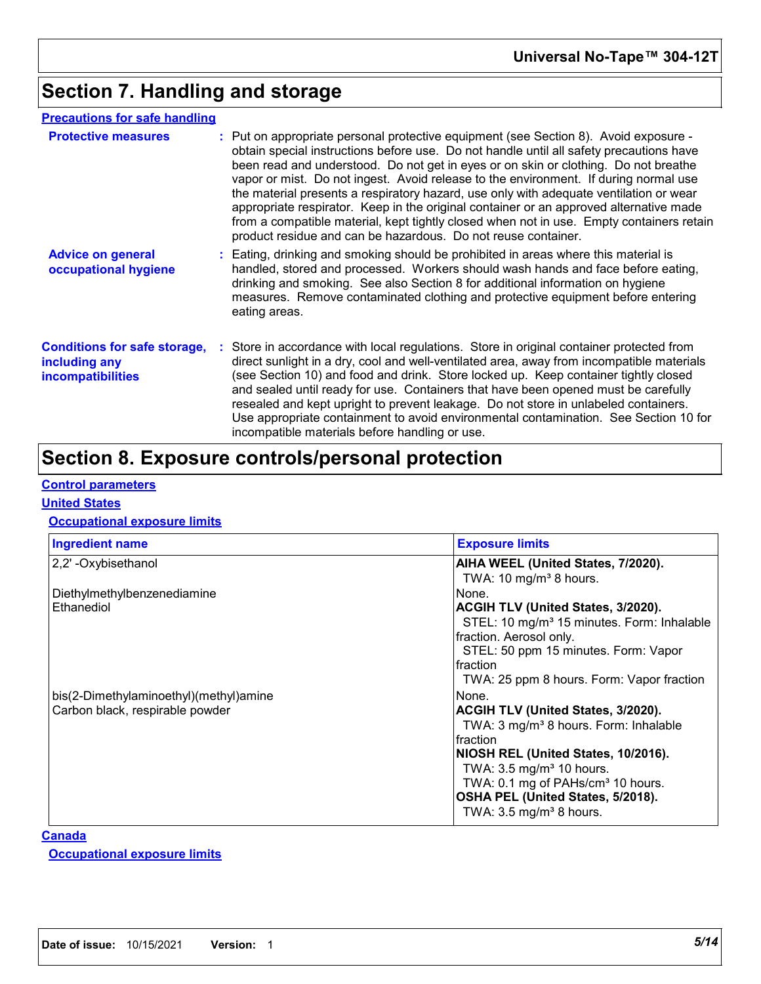# **Section 7. Handling and storage**

### **Precautions for safe handling**

| <b>Protective measures</b>                                                       | : Put on appropriate personal protective equipment (see Section 8). Avoid exposure -<br>obtain special instructions before use. Do not handle until all safety precautions have<br>been read and understood. Do not get in eyes or on skin or clothing. Do not breathe<br>vapor or mist. Do not ingest. Avoid release to the environment. If during normal use<br>the material presents a respiratory hazard, use only with adequate ventilation or wear<br>appropriate respirator. Keep in the original container or an approved alternative made<br>from a compatible material, kept tightly closed when not in use. Empty containers retain<br>product residue and can be hazardous. Do not reuse container. |
|----------------------------------------------------------------------------------|-----------------------------------------------------------------------------------------------------------------------------------------------------------------------------------------------------------------------------------------------------------------------------------------------------------------------------------------------------------------------------------------------------------------------------------------------------------------------------------------------------------------------------------------------------------------------------------------------------------------------------------------------------------------------------------------------------------------|
| <b>Advice on general</b><br>occupational hygiene                                 | : Eating, drinking and smoking should be prohibited in areas where this material is<br>handled, stored and processed. Workers should wash hands and face before eating,<br>drinking and smoking. See also Section 8 for additional information on hygiene<br>measures. Remove contaminated clothing and protective equipment before entering<br>eating areas.                                                                                                                                                                                                                                                                                                                                                   |
| <b>Conditions for safe storage,</b><br>including any<br><i>incompatibilities</i> | : Store in accordance with local regulations. Store in original container protected from<br>direct sunlight in a dry, cool and well-ventilated area, away from incompatible materials<br>(see Section 10) and food and drink. Store locked up. Keep container tightly closed<br>and sealed until ready for use. Containers that have been opened must be carefully<br>resealed and kept upright to prevent leakage. Do not store in unlabeled containers.<br>Use appropriate containment to avoid environmental contamination. See Section 10 for<br>incompatible materials before handling or use.                                                                                                             |

# **Section 8. Exposure controls/personal protection**

### **Control parameters**

#### **United States**

### **Occupational exposure limits**

| <b>Ingredient name</b>                                                    | <b>Exposure limits</b>                                                                                                                                                                                                                                                                                                         |
|---------------------------------------------------------------------------|--------------------------------------------------------------------------------------------------------------------------------------------------------------------------------------------------------------------------------------------------------------------------------------------------------------------------------|
| 2,2' - Oxybisethanol                                                      | AIHA WEEL (United States, 7/2020).<br>TWA: 10 mg/m <sup>3</sup> 8 hours.                                                                                                                                                                                                                                                       |
| Diethylmethylbenzenediamine<br>Ethanediol                                 | None.<br>ACGIH TLV (United States, 3/2020).<br>STEL: 10 mg/m <sup>3</sup> 15 minutes. Form: Inhalable<br>fraction. Aerosol only.<br>STEL: 50 ppm 15 minutes. Form: Vapor<br>Ifraction<br>TWA: 25 ppm 8 hours. Form: Vapor fraction                                                                                             |
| bis(2-Dimethylaminoethyl)(methyl)amine<br>Carbon black, respirable powder | None.<br><b>ACGIH TLV (United States, 3/2020).</b><br>TWA: 3 mg/m <sup>3</sup> 8 hours. Form: Inhalable<br>fraction<br>NIOSH REL (United States, 10/2016).<br>TWA: 3.5 mg/m <sup>3</sup> 10 hours.<br>TWA: 0.1 mg of PAHs/cm <sup>3</sup> 10 hours.<br>OSHA PEL (United States, 5/2018).<br>TWA: $3.5 \text{ mg/m}^3$ 8 hours. |

#### **Canada**

#### **Occupational exposure limits**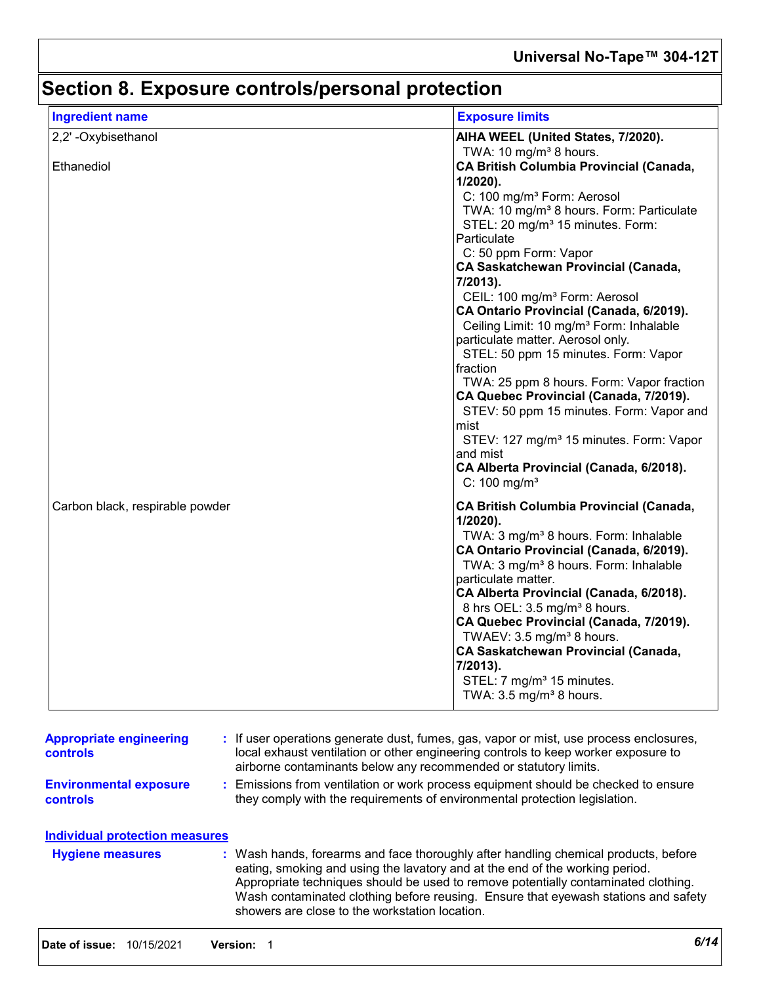# **Section 8. Exposure controls/personal protection**

| <b>Ingredient name</b>          | <b>Exposure limits</b>                                                                                                                                                                                                                                                                                                                                                                                                                                                                                                                                                                                                                                                                                                                                                                                                                        |
|---------------------------------|-----------------------------------------------------------------------------------------------------------------------------------------------------------------------------------------------------------------------------------------------------------------------------------------------------------------------------------------------------------------------------------------------------------------------------------------------------------------------------------------------------------------------------------------------------------------------------------------------------------------------------------------------------------------------------------------------------------------------------------------------------------------------------------------------------------------------------------------------|
| 2,2'-Oxybisethanol              | AIHA WEEL (United States, 7/2020).<br>TWA: 10 mg/m <sup>3</sup> 8 hours.                                                                                                                                                                                                                                                                                                                                                                                                                                                                                                                                                                                                                                                                                                                                                                      |
| Ethanediol                      | <b>CA British Columbia Provincial (Canada,</b><br>1/2020).<br>C: 100 mg/m <sup>3</sup> Form: Aerosol<br>TWA: 10 mg/m <sup>3</sup> 8 hours. Form: Particulate<br>STEL: 20 mg/m <sup>3</sup> 15 minutes. Form:<br>Particulate<br>C: 50 ppm Form: Vapor<br><b>CA Saskatchewan Provincial (Canada,</b><br>7/2013).<br>CEIL: 100 mg/m <sup>3</sup> Form: Aerosol<br>CA Ontario Provincial (Canada, 6/2019).<br>Ceiling Limit: 10 mg/m <sup>3</sup> Form: Inhalable<br>particulate matter. Aerosol only.<br>STEL: 50 ppm 15 minutes. Form: Vapor<br>fraction<br>TWA: 25 ppm 8 hours. Form: Vapor fraction<br>CA Quebec Provincial (Canada, 7/2019).<br>STEV: 50 ppm 15 minutes. Form: Vapor and<br>mist<br>STEV: 127 mg/m <sup>3</sup> 15 minutes. Form: Vapor<br>and mist<br>CA Alberta Provincial (Canada, 6/2018).<br>$C: 100$ mg/m <sup>3</sup> |
| Carbon black, respirable powder | CA British Columbia Provincial (Canada,<br>1/2020).<br>TWA: 3 mg/m <sup>3</sup> 8 hours. Form: Inhalable<br>CA Ontario Provincial (Canada, 6/2019).<br>TWA: 3 mg/m <sup>3</sup> 8 hours. Form: Inhalable<br>particulate matter.<br>CA Alberta Provincial (Canada, 6/2018).<br>8 hrs OEL: 3.5 mg/m <sup>3</sup> 8 hours.<br>CA Quebec Provincial (Canada, 7/2019).<br>TWAEV: 3.5 mg/m <sup>3</sup> 8 hours.<br><b>CA Saskatchewan Provincial (Canada,</b><br>7/2013).<br>STEL: 7 mg/m <sup>3</sup> 15 minutes.<br>TWA: 3.5 mg/m <sup>3</sup> 8 hours.                                                                                                                                                                                                                                                                                          |

| <b>controls</b>                                  | local exhaust ventilation or other engineering controls to keep worker exposure to<br>airborne contaminants below any recommended or statutory limits.                                                                                                                                                                                                                                            |
|--------------------------------------------------|---------------------------------------------------------------------------------------------------------------------------------------------------------------------------------------------------------------------------------------------------------------------------------------------------------------------------------------------------------------------------------------------------|
| <b>Environmental exposure</b><br><b>controls</b> | : Emissions from ventilation or work process equipment should be checked to ensure<br>they comply with the requirements of environmental protection legislation.                                                                                                                                                                                                                                  |
| Individual protection measures                   |                                                                                                                                                                                                                                                                                                                                                                                                   |
| <b>Hygiene measures</b>                          | : Wash hands, forearms and face thoroughly after handling chemical products, before<br>eating, smoking and using the lavatory and at the end of the working period.<br>Appropriate techniques should be used to remove potentially contaminated clothing.<br>Wash contaminated clothing before reusing. Ensure that eyewash stations and safety<br>showers are close to the workstation location. |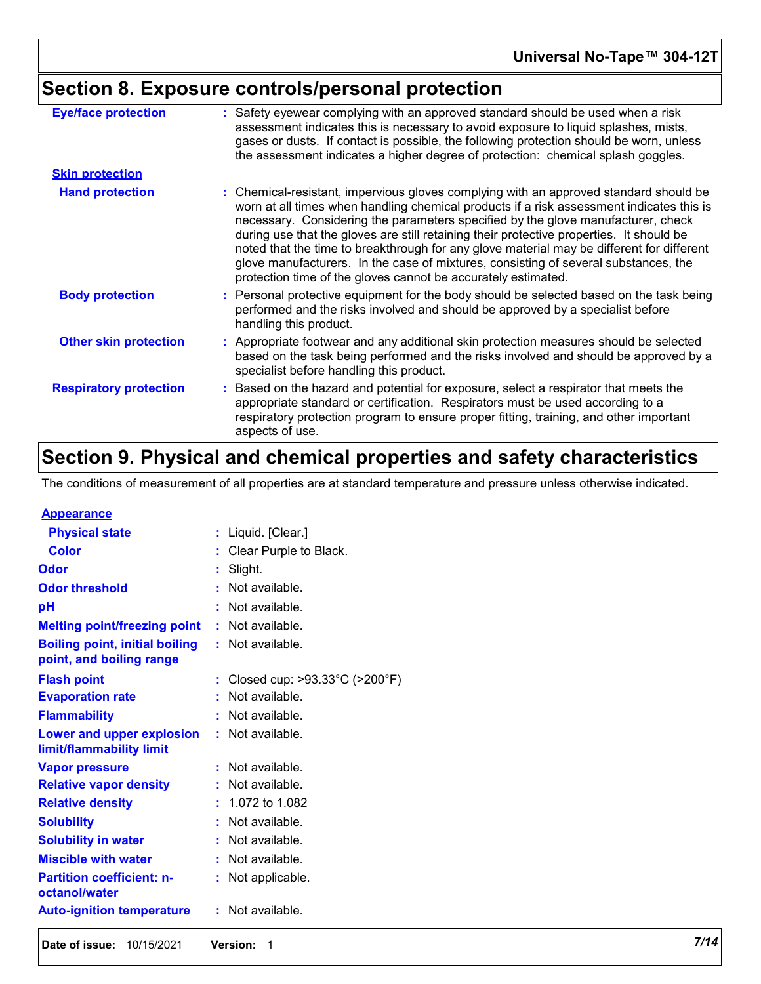# **Section 8. Exposure controls/personal protection**

| <b>Eye/face protection</b>    | : Safety eyewear complying with an approved standard should be used when a risk<br>assessment indicates this is necessary to avoid exposure to liquid splashes, mists,<br>gases or dusts. If contact is possible, the following protection should be worn, unless<br>the assessment indicates a higher degree of protection: chemical splash goggles.                                                                                                                                                                                                                                                                  |
|-------------------------------|------------------------------------------------------------------------------------------------------------------------------------------------------------------------------------------------------------------------------------------------------------------------------------------------------------------------------------------------------------------------------------------------------------------------------------------------------------------------------------------------------------------------------------------------------------------------------------------------------------------------|
| <b>Skin protection</b>        |                                                                                                                                                                                                                                                                                                                                                                                                                                                                                                                                                                                                                        |
| <b>Hand protection</b>        | : Chemical-resistant, impervious gloves complying with an approved standard should be<br>worn at all times when handling chemical products if a risk assessment indicates this is<br>necessary. Considering the parameters specified by the glove manufacturer, check<br>during use that the gloves are still retaining their protective properties. It should be<br>noted that the time to breakthrough for any glove material may be different for different<br>glove manufacturers. In the case of mixtures, consisting of several substances, the<br>protection time of the gloves cannot be accurately estimated. |
| <b>Body protection</b>        | : Personal protective equipment for the body should be selected based on the task being<br>performed and the risks involved and should be approved by a specialist before<br>handling this product.                                                                                                                                                                                                                                                                                                                                                                                                                    |
| <b>Other skin protection</b>  | : Appropriate footwear and any additional skin protection measures should be selected<br>based on the task being performed and the risks involved and should be approved by a<br>specialist before handling this product.                                                                                                                                                                                                                                                                                                                                                                                              |
| <b>Respiratory protection</b> | : Based on the hazard and potential for exposure, select a respirator that meets the<br>appropriate standard or certification. Respirators must be used according to a<br>respiratory protection program to ensure proper fitting, training, and other important<br>aspects of use.                                                                                                                                                                                                                                                                                                                                    |

# **Section 9. Physical and chemical properties and safety characteristics**

The conditions of measurement of all properties are at standard temperature and pressure unless otherwise indicated.

| <b>Appearance</b>                                 |    |                               |
|---------------------------------------------------|----|-------------------------------|
| <b>Physical state</b>                             | t  | Liquid. [Clear.]              |
| <b>Color</b>                                      |    | Clear Purple to Black.        |
| Odor                                              | t  | Slight.                       |
| <b>Odor threshold</b>                             | t  | Not available.                |
| рH                                                | Ì  | Not available.                |
| <b>Melting point/freezing point</b>               | t  | Not available.                |
| <b>Boiling point, initial boiling</b>             | t. | Not available.                |
| point, and boiling range                          |    |                               |
| <b>Flash point</b>                                | t  | Closed cup: >93.33°C (>200°F) |
| <b>Evaporation rate</b>                           |    | Not available.                |
| <b>Flammability</b>                               |    | Not available.                |
| <b>Lower and upper explosion</b>                  | t. | Not available.                |
| limit/flammability limit                          |    |                               |
| <b>Vapor pressure</b>                             |    | Not available.                |
| <b>Relative vapor density</b>                     |    | Not available.                |
| <b>Relative density</b>                           |    | 1.072 to 1.082                |
| <b>Solubility</b>                                 | t  | Not available.                |
| <b>Solubility in water</b>                        |    | Not available.                |
| <b>Miscible with water</b>                        | t  | Not available.                |
| <b>Partition coefficient: n-</b><br>octanol/water |    | Not applicable.               |
| <b>Auto-ignition temperature</b>                  | t  | Not available.                |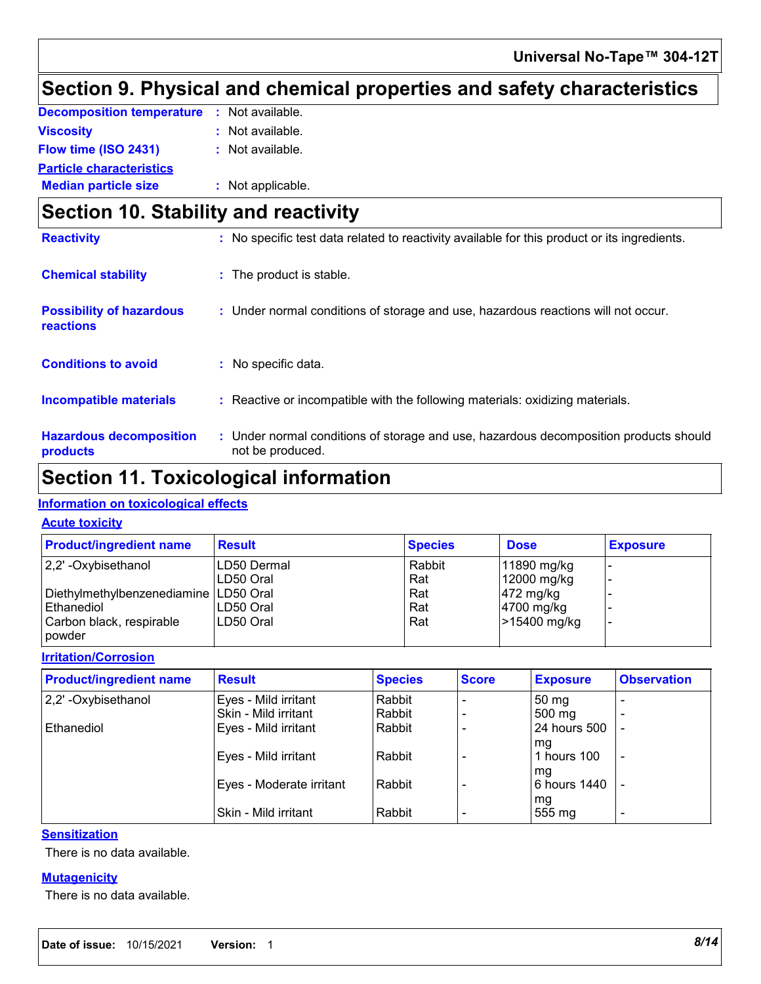# **Section 9. Physical and chemical properties and safety characteristics**

| <b>Decomposition temperature : Not available.</b> |                    |
|---------------------------------------------------|--------------------|
| Viscosity                                         | : Not available.   |
| Flow time (ISO 2431)                              | $:$ Not available. |
| <b>Particle characteristics</b>                   |                    |
| <b>Median particle size</b>                       | : Not applicable.  |

## **Section 10. Stability and reactivity**

| <b>Reactivity</b>                            | : No specific test data related to reactivity available for this product or its ingredients.              |
|----------------------------------------------|-----------------------------------------------------------------------------------------------------------|
| <b>Chemical stability</b>                    | : The product is stable.                                                                                  |
| <b>Possibility of hazardous</b><br>reactions | : Under normal conditions of storage and use, hazardous reactions will not occur.                         |
| <b>Conditions to avoid</b>                   | No specific data.<br>÷.                                                                                   |
| <b>Incompatible materials</b>                | : Reactive or incompatible with the following materials: oxidizing materials.                             |
| <b>Hazardous decomposition</b><br>products   | : Under normal conditions of storage and use, hazardous decomposition products should<br>not be produced. |

### **Section 11. Toxicological information**

### **Information on toxicological effects**

#### **Acute toxicity**

| <b>Product/ingredient name</b>          | <b>Result</b> | <b>Species</b> | <b>Dose</b>           | <b>Exposure</b> |
|-----------------------------------------|---------------|----------------|-----------------------|-----------------|
| $ 2,2$ ' -Oxybisethanol                 | LD50 Dermal   | Rabbit         | 11890 mg/kg           |                 |
|                                         | LD50 Oral     | Rat            | 12000 mg/kg           |                 |
| Diethylmethylbenzenediamine   LD50 Oral |               | Rat            | $ 472 \text{ mg/kg} $ |                 |
| Ethanediol                              | LD50 Oral     | Rat            | 4700 mg/kg            |                 |
| Carbon black, respirable<br>powder      | LD50 Oral     | Rat            | >15400 mg/kg          |                 |

#### **Irritation/Corrosion**

| <b>Product/ingredient name</b> | <b>Result</b>            | <b>Species</b> | <b>Score</b> | <b>Exposure</b>  | <b>Observation</b>       |
|--------------------------------|--------------------------|----------------|--------------|------------------|--------------------------|
| 2,2'-Oxybisethanol             | Eyes - Mild irritant     | Rabbit         |              | 50 <sub>mg</sub> |                          |
|                                | Skin - Mild irritant     | Rabbit         |              | 500 mg           |                          |
| Ethanediol                     | Eyes - Mild irritant     | Rabbit         |              | 24 hours 500     |                          |
|                                |                          |                |              | mg               |                          |
|                                | Eyes - Mild irritant     | Rabbit         |              | hours 100        | $\overline{\phantom{a}}$ |
|                                |                          |                |              | mg               |                          |
|                                | Eyes - Moderate irritant | Rabbit         |              | 6 hours 1440     | $\overline{\phantom{a}}$ |
|                                |                          |                |              | mg               |                          |
|                                | Skin - Mild irritant     | Rabbit         |              | 555 mg           | $\overline{\phantom{0}}$ |

#### **Sensitization**

There is no data available.

#### **Mutagenicity**

There is no data available.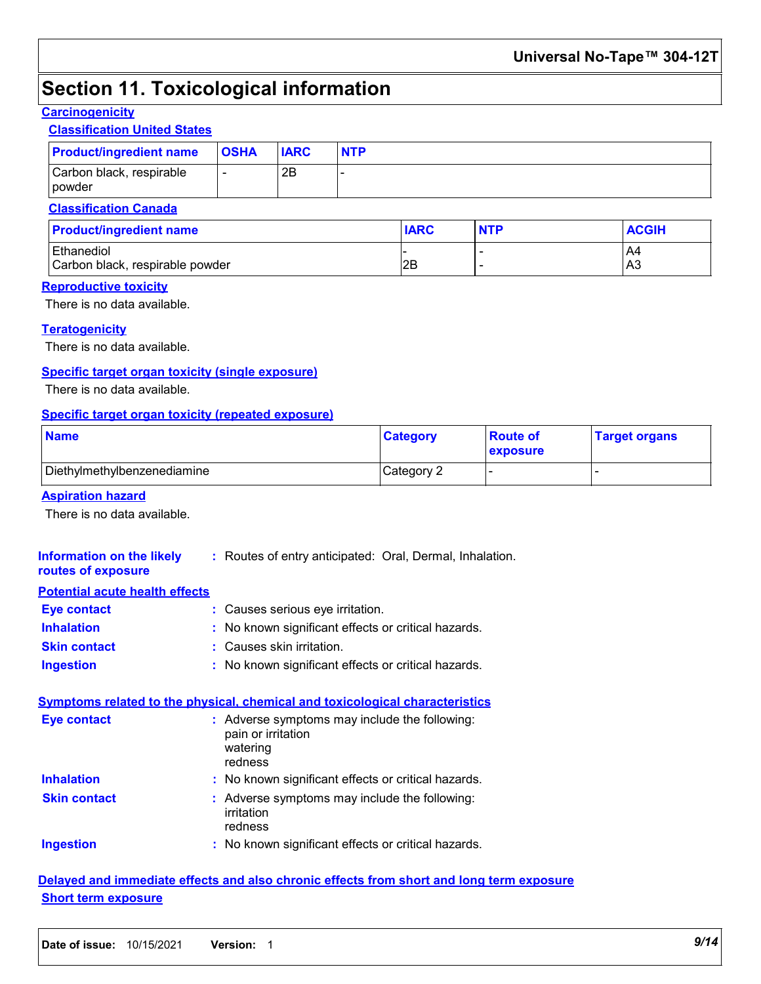## **Section 11. Toxicological information**

### **Carcinogenicity**

### **Classification United States**

| <b>Product/ingredient name</b>                | <b>OSHA</b>              | <b>IARC</b> | <b>NTP</b> |             |            |              |
|-----------------------------------------------|--------------------------|-------------|------------|-------------|------------|--------------|
| Carbon black, respirable<br>powder            | $\overline{\phantom{a}}$ | 2B          |            |             |            |              |
| <b>Classification Canada</b>                  |                          |             |            |             |            |              |
| <b>Product/ingredient name</b>                |                          |             |            | <b>IARC</b> | <b>NTP</b> | <b>ACGIH</b> |
| Ethanediol<br>Carbon black, respirable powder |                          |             |            | l2B         | -<br>-     | A4<br>IA3    |

#### **Reproductive toxicity**

There is no data available.

#### **Teratogenicity**

There is no data available.

#### **Specific target organ toxicity (single exposure)**

There is no data available.

#### **Specific target organ toxicity (repeated exposure)**

| <b>Name</b>                 | <b>Category</b> | <b>Route of</b><br><b>exposure</b> | <b>Target organs</b> |
|-----------------------------|-----------------|------------------------------------|----------------------|
| Diethylmethylbenzenediamine | Category 2      |                                    |                      |

#### **Aspiration hazard**

There is no data available.

| : Routes of entry anticipated: Oral, Dermal, Inhalation.                                   |
|--------------------------------------------------------------------------------------------|
|                                                                                            |
| : Causes serious eye irritation.                                                           |
| : No known significant effects or critical hazards.                                        |
| : Causes skin irritation.                                                                  |
| : No known significant effects or critical hazards.                                        |
| <b>Symptoms related to the physical, chemical and toxicological characteristics</b>        |
|                                                                                            |
| : Adverse symptoms may include the following:<br>pain or irritation<br>watering<br>redness |
| : No known significant effects or critical hazards.                                        |
| : Adverse symptoms may include the following:<br>irritation<br>redness                     |
| <b>Potential acute health effects</b>                                                      |

### **Delayed and immediate effects and also chronic effects from short and long term exposure Short term exposure**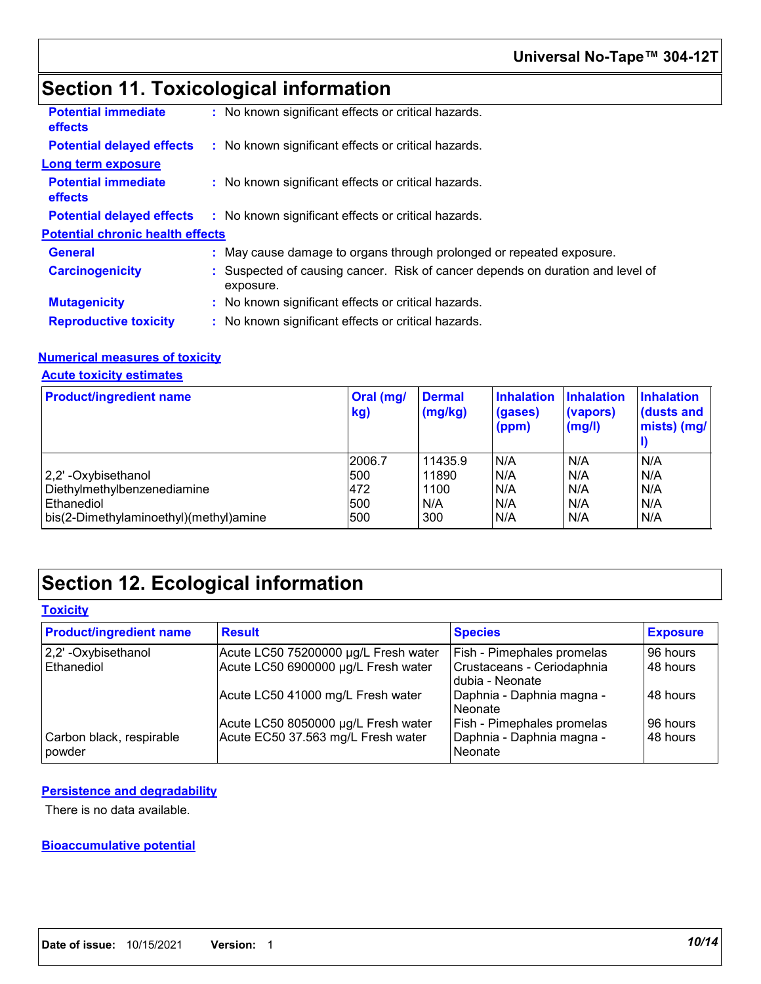# **Section 11. Toxicological information**

| <b>Potential immediate</b><br><b>effects</b> | : No known significant effects or critical hazards.                                         |
|----------------------------------------------|---------------------------------------------------------------------------------------------|
| <b>Potential delayed effects</b>             | : No known significant effects or critical hazards.                                         |
| <b>Long term exposure</b>                    |                                                                                             |
| <b>Potential immediate</b><br><b>effects</b> | : No known significant effects or critical hazards.                                         |
| <b>Potential delayed effects</b>             | : No known significant effects or critical hazards.                                         |
| <b>Potential chronic health effects</b>      |                                                                                             |
| <b>General</b>                               | : May cause damage to organs through prolonged or repeated exposure.                        |
| <b>Carcinogenicity</b>                       | : Suspected of causing cancer. Risk of cancer depends on duration and level of<br>exposure. |
| <b>Mutagenicity</b>                          | : No known significant effects or critical hazards.                                         |
| <b>Reproductive toxicity</b>                 | : No known significant effects or critical hazards.                                         |

#### **Numerical measures of toxicity**

#### **Acute toxicity estimates**

| <b>Product/ingredient name</b>         | Oral (mg/<br>kg) | <b>Dermal</b><br>(mg/kg) | <b>Inhalation</b><br>(gases)<br>(ppm) | <b>Inhalation</b><br>(vapors)<br>(mg/l) | <b>Inhalation</b><br>(dusts and<br>mists) (mg/ |
|----------------------------------------|------------------|--------------------------|---------------------------------------|-----------------------------------------|------------------------------------------------|
|                                        | 2006.7           | 11435.9                  | N/A                                   | N/A                                     | N/A                                            |
| 2,2' -Oxybisethanol                    | 500              | 11890                    | N/A                                   | N/A                                     | N/A                                            |
| Diethylmethylbenzenediamine            | 472              | 1100                     | N/A                                   | N/A                                     | N/A                                            |
| <b>Ethanediol</b>                      | 500              | N/A                      | N/A                                   | N/A                                     | N/A                                            |
| bis(2-Dimethylaminoethyl)(methyl)amine | 500              | 300                      | N/A                                   | N/A                                     | N/A                                            |

## **Section 12. Ecological information**

### **Toxicity**

| <b>Product/ingredient name</b>     | <b>Result</b>                        | <b>Species</b>                                | <b>Exposure</b> |
|------------------------------------|--------------------------------------|-----------------------------------------------|-----------------|
| 2,2' - Oxybisethanol               | Acute LC50 75200000 µg/L Fresh water | Fish - Pimephales promelas                    | 96 hours        |
| Ethanediol                         | Acute LC50 6900000 µg/L Fresh water  | Crustaceans - Ceriodaphnia<br>dubia - Neonate | 48 hours        |
|                                    | Acute LC50 41000 mg/L Fresh water    | Daphnia - Daphnia magna -<br>l Neonate        | 48 hours        |
|                                    | Acute LC50 8050000 µg/L Fresh water  | Fish - Pimephales promelas                    | 96 hours        |
| Carbon black, respirable<br>powder | Acute EC50 37.563 mg/L Fresh water   | Daphnia - Daphnia magna -<br>Neonate          | 48 hours        |

### **Persistence and degradability**

There is no data available.

#### **Bioaccumulative potential**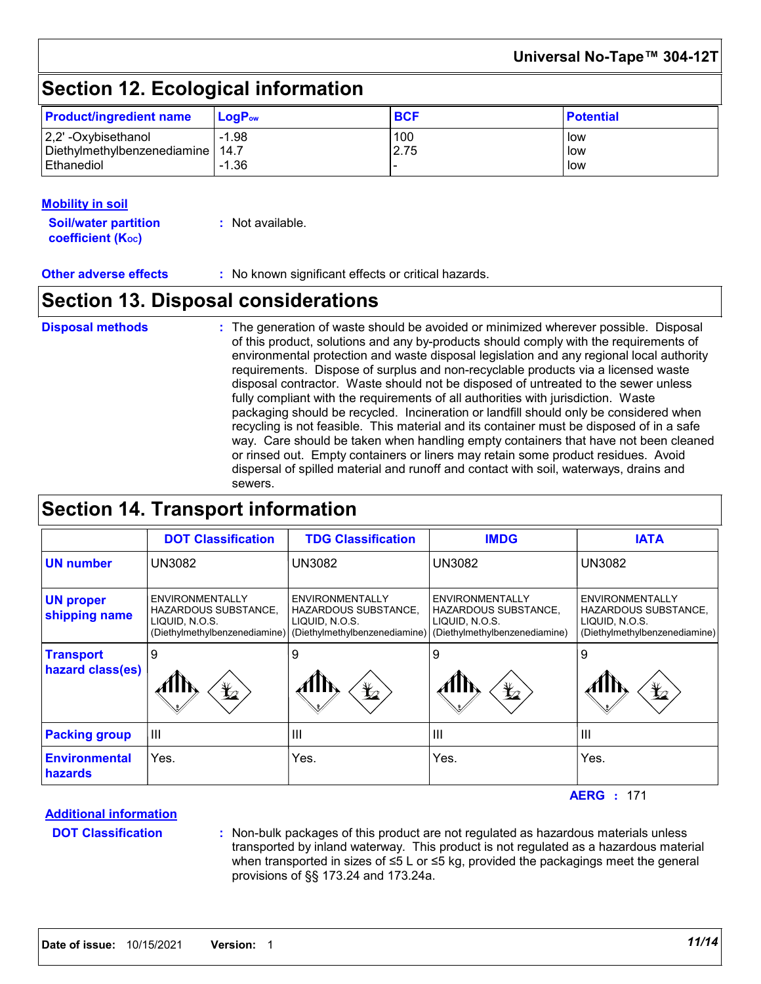### **Universal No-Tape™ 304-12T**

# **Section 12. Ecological information**

| <b>Product/ingredient name</b>     | $LoaPow$ | <b>BCF</b> | <b>Potential</b> |
|------------------------------------|----------|------------|------------------|
| $ 2,2$ ' -Oxybisethanol            | $-1.98$  | 100        | low              |
| Diethylmethylbenzenediamine   14.7 |          | 2.75       | low              |
| l Ethanediol                       | $-1.36$  |            | low              |

#### **Mobility in soil**

**Soil/water partition coefficient (KOC) :** Not available.

**Other adverse effects** : No known significant effects or critical hazards.

### **Section 13. Disposal considerations**

The generation of waste should be avoided or minimized wherever possible. Disposal of this product, solutions and any by-products should comply with the requirements of environmental protection and waste disposal legislation and any regional local authority requirements. Dispose of surplus and non-recyclable products via a licensed waste disposal contractor. Waste should not be disposed of untreated to the sewer unless fully compliant with the requirements of all authorities with jurisdiction. Waste packaging should be recycled. Incineration or landfill should only be considered when recycling is not feasible. This material and its container must be disposed of in a safe way. Care should be taken when handling empty containers that have not been cleaned or rinsed out. Empty containers or liners may retain some product residues. Avoid dispersal of spilled material and runoff and contact with soil, waterways, drains and sewers. **Disposal methods :**

### **Section 14. Transport information**

|                                        | <b>DOT Classification</b>                                                                         | <b>TDG Classification</b>                                                                  | <b>IMDG</b>                                                                                       | <b>IATA</b>                                                                                              |
|----------------------------------------|---------------------------------------------------------------------------------------------------|--------------------------------------------------------------------------------------------|---------------------------------------------------------------------------------------------------|----------------------------------------------------------------------------------------------------------|
| <b>UN number</b>                       | <b>UN3082</b>                                                                                     | <b>UN3082</b>                                                                              | <b>UN3082</b>                                                                                     | <b>UN3082</b>                                                                                            |
| <b>UN proper</b><br>shipping name      | <b>ENVIRONMENTALLY</b><br>HAZARDOUS SUBSTANCE,<br>LIQUID, N.O.S.<br>(Diethylmethylbenzenediamine) | ENVIRONMENTALLY<br>HAZARDOUS SUBSTANCE,<br>LIQUID, N.O.S.<br>(Diethylmethylbenzenediamine) | <b>ENVIRONMENTALLY</b><br>HAZARDOUS SUBSTANCE,<br>LIQUID, N.O.S.<br>(Diethylmethylbenzenediamine) | <b>ENVIRONMENTALLY</b><br><b>HAZARDOUS SUBSTANCE,</b><br>LIQUID, N.O.S.<br>(Diethylmethylbenzenediamine) |
| <b>Transport</b><br>hazard class(es)   | 9<br>$\bigstar$                                                                                   | 9<br>$\bigstar$                                                                            | 9<br>$\mathbf{\mathbf{\mathbf{\mathbf{\mathbf{\mathbf{\mathbf{\mathbf{t}}}}}}$                    | 9<br>$\bigstar$                                                                                          |
| <b>Packing group</b>                   | $\mathbf{III}$                                                                                    | $\mathbf{III}$                                                                             | Ш                                                                                                 | $\mathbf{III}$                                                                                           |
| <b>Environmental</b><br><b>hazards</b> | Yes.                                                                                              | Yes.                                                                                       | Yes.                                                                                              | Yes.                                                                                                     |

171 **AERG :**

**Additional information**

**DOT Classification :**

Non-bulk packages of this product are not regulated as hazardous materials unless transported by inland waterway. This product is not regulated as a hazardous material when transported in sizes of ≤5 L or ≤5 kg, provided the packagings meet the general provisions of §§ 173.24 and 173.24a.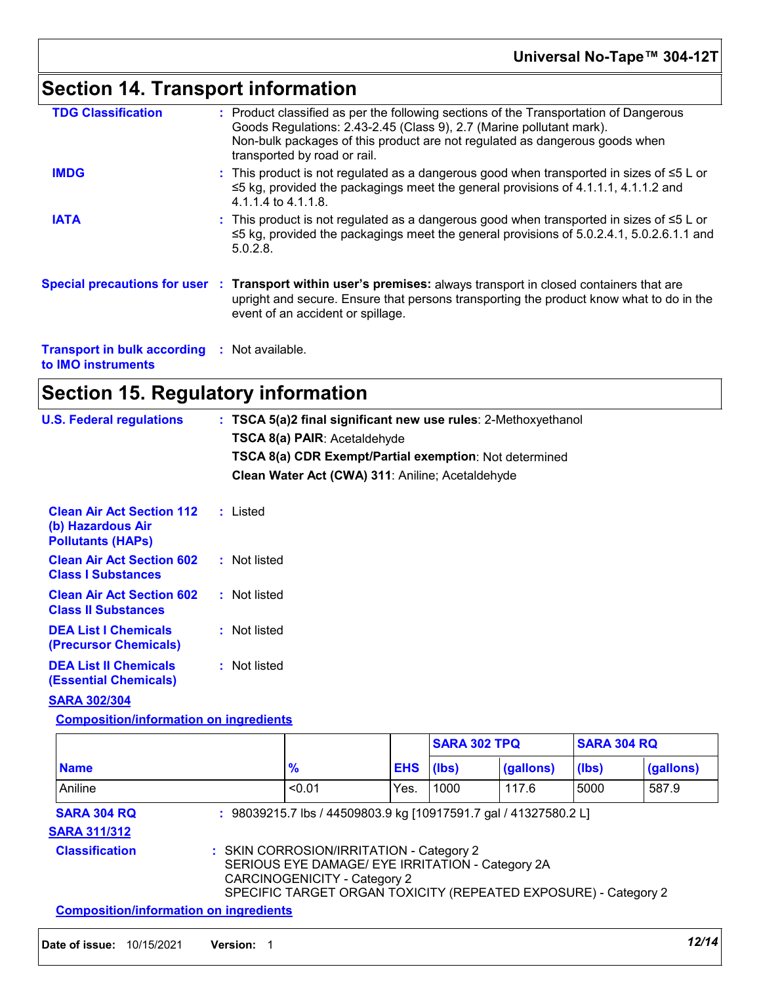# **Section 14. Transport information**

| <b>TDG Classification</b>                                | : Product classified as per the following sections of the Transportation of Dangerous<br>Goods Regulations: 2.43-2.45 (Class 9), 2.7 (Marine pollutant mark).<br>Non-bulk packages of this product are not regulated as dangerous goods when<br>transported by road or rail. |
|----------------------------------------------------------|------------------------------------------------------------------------------------------------------------------------------------------------------------------------------------------------------------------------------------------------------------------------------|
| <b>IMDG</b>                                              | : This product is not regulated as a dangerous good when transported in sizes of $\leq 5$ L or<br>$\leq$ 5 kg, provided the packagings meet the general provisions of 4.1.1.1, 4.1.1.2 and<br>4.1.1.4 to 4.1.1.8.                                                            |
| <b>IATA</b>                                              | : This product is not regulated as a dangerous good when transported in sizes of $\leq 5$ L or<br>$\leq$ 5 kg, provided the packagings meet the general provisions of 5.0.2.4.1, 5.0.2.6.1.1 and<br>$5.0.2.8$ .                                                              |
|                                                          | Special precautions for user : Transport within user's premises: always transport in closed containers that are<br>upright and secure. Ensure that persons transporting the product know what to do in the<br>event of an accident or spillage.                              |
| <b>Transport in bulk according</b><br>to IMO instruments | : Not available.                                                                                                                                                                                                                                                             |

# **Section 15. Regulatory information**

| <b>U.S. Federal regulations</b>                                                   | : TSCA 5(a)2 final significant new use rules: 2-Methoxyethanol |
|-----------------------------------------------------------------------------------|----------------------------------------------------------------|
|                                                                                   | <b>TSCA 8(a) PAIR: Acetaldehyde</b>                            |
|                                                                                   | TSCA 8(a) CDR Exempt/Partial exemption: Not determined         |
|                                                                                   | Clean Water Act (CWA) 311: Aniline; Acetaldehyde               |
| <b>Clean Air Act Section 112</b><br>(b) Hazardous Air<br><b>Pollutants (HAPS)</b> | : Listed                                                       |
| <b>Clean Air Act Section 602</b><br><b>Class I Substances</b>                     | : Not listed                                                   |
| <b>Clean Air Act Section 602</b><br><b>Class II Substances</b>                    | : Not listed                                                   |
| <b>DEA List I Chemicals</b><br>(Precursor Chemicals)                              | : Not listed                                                   |
| <b>DEA List II Chemicals</b><br><b>(Essential Chemicals)</b>                      | : Not listed                                                   |
| <b>SARA 302/304</b>                                                               |                                                                |
| <b>Composition/information on ingredients</b>                                     |                                                                |

|                                                                                                                                                                                                                          |  |               |            | <b>SARA 302 TPQ</b> |           | <b>SARA 304 RQ</b> |           |
|--------------------------------------------------------------------------------------------------------------------------------------------------------------------------------------------------------------------------|--|---------------|------------|---------------------|-----------|--------------------|-----------|
| <b>Name</b>                                                                                                                                                                                                              |  | $\frac{9}{6}$ | <b>EHS</b> | (lbs)               | (gallons) | (lbs)              | (gallons) |
| Aniline                                                                                                                                                                                                                  |  | < 0.01        | Yes.       | 1000                | 117.6     | 5000               | 587.9     |
| <b>SARA 304 RQ</b><br>: 98039215.7 lbs / 44509803.9 kg [10917591.7 gal / 41327580.2 L]<br><b>SARA 311/312</b>                                                                                                            |  |               |            |                     |           |                    |           |
| <b>Classification</b><br>: SKIN CORROSION/IRRITATION - Category 2<br>SERIOUS EYE DAMAGE/ EYE IRRITATION - Category 2A<br>CARCINOGENICITY - Category 2<br>SPECIFIC TARGET ORGAN TOXICITY (REPEATED EXPOSURE) - Category 2 |  |               |            |                     |           |                    |           |
| <b>Composition/information on ingredients</b>                                                                                                                                                                            |  |               |            |                     |           |                    |           |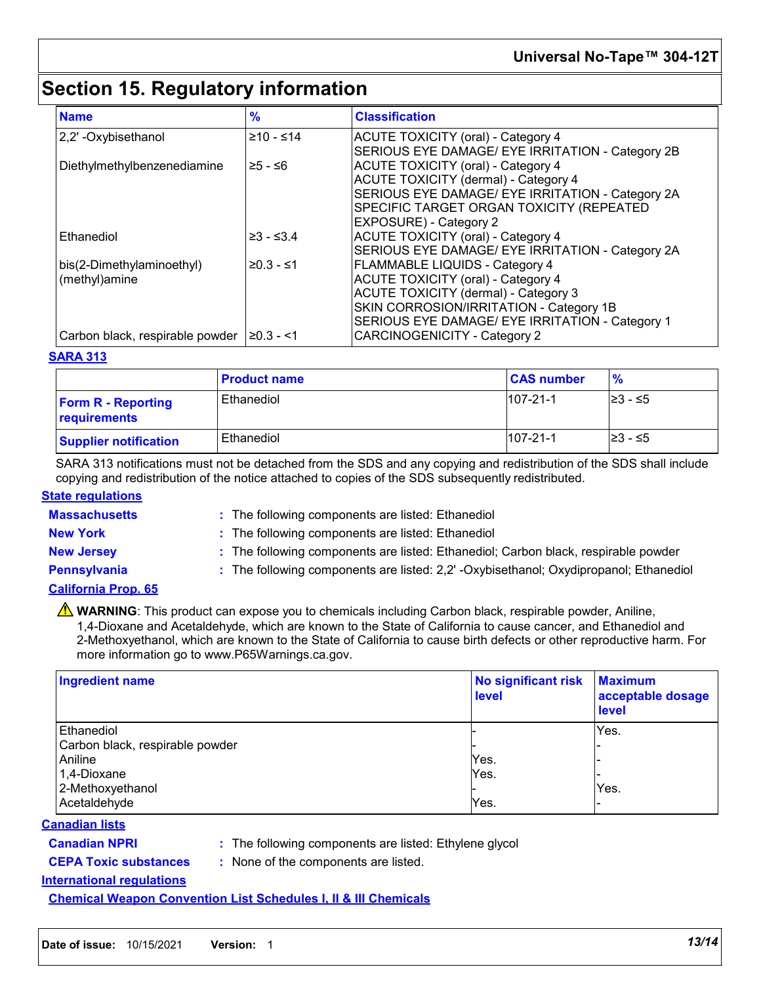## **Section 15. Regulatory information**

| <b>Name</b>                     | %               | <b>Classification</b>                            |
|---------------------------------|-----------------|--------------------------------------------------|
| 2,2' - Oxybisethanol            | $≥10 - ≤14$     | <b>ACUTE TOXICITY (oral) - Category 4</b>        |
|                                 |                 | SERIOUS EYE DAMAGE/ EYE IRRITATION - Category 2B |
| Diethylmethylbenzenediamine     | ≥5 - ≤6         | <b>ACUTE TOXICITY (oral) - Category 4</b>        |
|                                 |                 | <b>ACUTE TOXICITY (dermal) - Category 4</b>      |
|                                 |                 | SERIOUS EYE DAMAGE/ EYE IRRITATION - Category 2A |
|                                 |                 | SPECIFIC TARGET ORGAN TOXICITY (REPEATED         |
|                                 |                 | <b>EXPOSURE) - Category 2</b>                    |
| Ethanediol                      | $≥3 - ≤3.4$     | <b>ACUTE TOXICITY (oral) - Category 4</b>        |
|                                 |                 | SERIOUS EYE DAMAGE/ EYE IRRITATION - Category 2A |
| bis(2-Dimethylaminoethyl)       | $≥0.3 - ≤1$     | <b>FLAMMABLE LIQUIDS - Category 4</b>            |
| (methyl)amine                   |                 | <b>ACUTE TOXICITY (oral) - Category 4</b>        |
|                                 |                 | ACUTE TOXICITY (dermal) - Category 3             |
|                                 |                 | SKIN CORROSION/IRRITATION - Category 1B          |
|                                 |                 | SERIOUS EYE DAMAGE/ EYE IRRITATION - Category 1  |
| Carbon black, respirable powder | $\geq$ 0.3 - <1 | <b>CARCINOGENICITY - Category 2</b>              |

#### **SARA 313**

|                                           | <b>Product name</b> | <b>CAS number</b> | $\frac{9}{6}$       |
|-------------------------------------------|---------------------|-------------------|---------------------|
| <b>Form R - Reporting</b><br>requirements | Ethanediol          | $107 - 21 - 1$    | $\geq$ 3 − $\leq$ 5 |
| <b>Supplier notification</b>              | Ethanediol          | $107 - 21 - 1$    | l≥3 - ≤5            |

SARA 313 notifications must not be detached from the SDS and any copying and redistribution of the SDS shall include copying and redistribution of the notice attached to copies of the SDS subsequently redistributed.

#### **State regulations**

- 
- **Massachusetts :** The following components are listed: Ethanediol
- 
- **New York :** The following components are listed: Ethanediol
- 
- **New Jersey :** The following components are listed: Ethanediol; Carbon black, respirable powder
- 
- **Pennsylvania :** The following components are listed: 2,2' -Oxybisethanol; Oxydipropanol; Ethanediol

### **California Prop. 65**

**A** WARNING: This product can expose you to chemicals including Carbon black, respirable powder, Aniline, 1,4-Dioxane and Acetaldehyde, which are known to the State of California to cause cancer, and Ethanediol and 2-Methoxyethanol, which are known to the State of California to cause birth defects or other reproductive harm. For more information go to www.P65Warnings.ca.gov.

| <b>Ingredient name</b>          | <b>No significant risk</b><br><b>level</b> | <b>Maximum</b><br>acceptable dosage<br>level |
|---------------------------------|--------------------------------------------|----------------------------------------------|
| Ethanediol                      |                                            | Yes.                                         |
| Carbon black, respirable powder |                                            |                                              |
| Aniline                         | Yes.                                       |                                              |
| 1,4-Dioxane                     | Yes.                                       |                                              |
| 2-Methoxyethanol                |                                            | Yes.                                         |
| Acetaldehyde                    | Yes.                                       |                                              |

#### **Canadian lists**

- 
- **Canadian NPRI :** The following components are listed: Ethylene glycol

### **CEPA Toxic substances :** None of the components are listed.

**International regulations**

**Chemical Weapon Convention List Schedules I, II & III Chemicals**